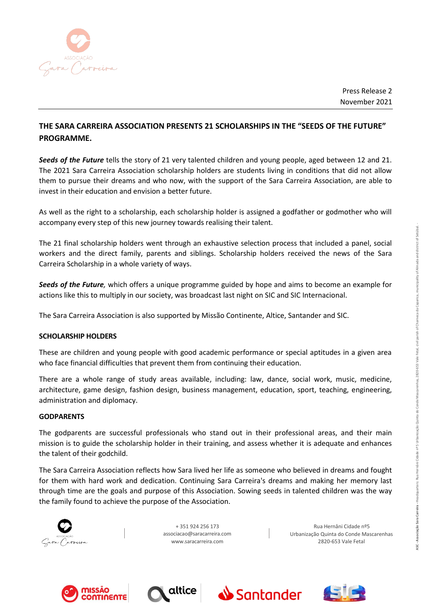

Press Release 2 November 2021

# **THE SARA CARREIRA ASSOCIATION PRESENTS 21 SCHOLARSHIPS IN THE "SEEDS OF THE FUTURE" PROGRAMME.**

*Seeds of the Future* tells the story of 21 very talented children and young people, aged between 12 and 21. The 2021 Sara Carreira Association scholarship holders are students living in conditions that did not allow them to pursue their dreams and who now, with the support of the Sara Carreira Association, are able to invest in their education and envision a better future.

As well as the right to a scholarship, each scholarship holder is assigned a godfather or godmother who will accompany every step of this new journey towards realising their talent.

The 21 final scholarship holders went through an exhaustive selection process that included a panel, social workers and the direct family, parents and siblings. Scholarship holders received the news of the Sara Carreira Scholarship in a whole variety of ways.

*Seeds of the Future,* which offers a unique programme guided by hope and aims to become an example for actions like this to multiply in our society, was broadcast last night on SIC and SIC Internacional.

The Sara Carreira Association is also supported by Missão Continente, Altice, Santander and SIC.

## **SCHOLARSHIP HOLDERS**

These are children and young people with good academic performance or special aptitudes in a given area who face financial difficulties that prevent them from continuing their education.

There are a whole range of study areas available, including: law, dance, social work, music, medicine, architecture, game design, fashion design, business management, education, sport, teaching, engineering, administration and diplomacy.

## **GODPARENTS**

The godparents are successful professionals who stand out in their professional areas, and their main mission is to guide the scholarship holder in their training, and assess whether it is adequate and enhances the talent of their godchild.

The Sara Carreira Association reflects how Sara lived her life as someone who believed in dreams and fought for them with hard work and dedication. Continuing Sara Carreira's dreams and making her memory last through time are the goals and purpose of this Association. Sowing seeds in talented children was the way the family found to achieve the purpose of the Association.



+ 351 924 256 173 [associacao@saracarreira.com](mailto:asssociacao@saracarreira.com) [www.saracarreira.com](http://www.saracarreira.com/)

Rua Hernâni Cidade nº5 Urbanização Quinta do Conde Mascarenhas 2820-653 Vale Fetal